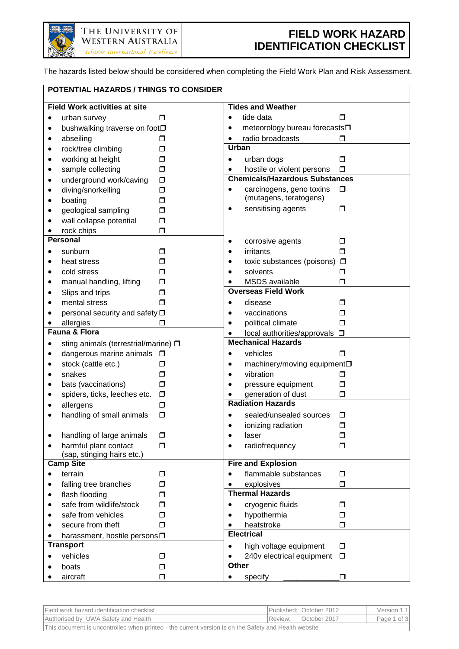

The hazards listed below should be considered when completing the Field Work Plan and Risk Assessment.

| POTENTIAL HAZARDS / THINGS TO CONSIDER                           |                                                     |        |              |                                                |        |
|------------------------------------------------------------------|-----------------------------------------------------|--------|--------------|------------------------------------------------|--------|
| <b>Field Work activities at site</b><br><b>Tides and Weather</b> |                                                     |        |              |                                                |        |
| ٠                                                                | urban survey                                        | п      | $\bullet$    | tide data                                      | ⊓      |
|                                                                  | bushwalking traverse on foot <sup>□</sup>           |        | $\bullet$    | meteorology bureau forecasts□                  |        |
| ٠                                                                | abseiling                                           | ◻      | $\bullet$    | radio broadcasts                               | ⊓      |
| ٠                                                                | rock/tree climbing                                  | □      | <b>Urban</b> |                                                |        |
|                                                                  | working at height                                   | □      | $\bullet$    | urban dogs                                     | $\Box$ |
| $\bullet$                                                        | sample collecting                                   | $\Box$ | $\bullet$    | hostile or violent persons                     | $\Box$ |
|                                                                  | underground work/caving                             | $\Box$ |              | <b>Chemicals/Hazardous Substances</b>          |        |
|                                                                  | diving/snorkelling                                  | Ω      | $\bullet$    | carcinogens, geno toxins                       | $\Box$ |
|                                                                  | boating                                             | $\Box$ |              | (mutagens, teratogens)                         |        |
|                                                                  | geological sampling                                 | □      | $\bullet$    | sensitising agents                             | ⊓      |
|                                                                  | wall collapse potential                             | $\Box$ |              |                                                |        |
|                                                                  | rock chips                                          | $\Box$ |              |                                                |        |
|                                                                  | <b>Personal</b>                                     |        | ٠            | corrosive agents                               | □      |
| $\bullet$                                                        | sunburn                                             | ◻      | $\bullet$    | irritants                                      | ⊓      |
| $\bullet$                                                        | heat stress                                         | □      | $\bullet$    | toxic substances (poisons)                     | $\Box$ |
|                                                                  | cold stress                                         | □      | $\bullet$    | solvents                                       | ⊓      |
|                                                                  | manual handling, lifting                            | □      |              | <b>MSDS</b> available                          | ⊓      |
|                                                                  | Slips and trips                                     | □      |              | <b>Overseas Field Work</b>                     |        |
|                                                                  | mental stress                                       | ⊓      | $\bullet$    | disease                                        | ⊓      |
|                                                                  | personal security and safety □                      |        | $\bullet$    | vaccinations                                   | □      |
|                                                                  | allergies                                           | ⊓      | $\bullet$    | political climate                              | ⊓      |
| Fauna & Flora                                                    |                                                     |        |              | local authorities/approvals □                  |        |
|                                                                  | sting animals (terrestrial/marine) □                |        |              | <b>Mechanical Hazards</b>                      |        |
|                                                                  | dangerous marine animals □                          |        | $\bullet$    | vehicles                                       | ⊓      |
|                                                                  | stock (cattle etc.)                                 | $\Box$ | $\bullet$    | machinery/moving equipment <sup>[1]</sup>      |        |
|                                                                  | snakes                                              | $\Box$ | $\bullet$    | vibration                                      | ⊓      |
|                                                                  | bats (vaccinations)                                 | □      | $\bullet$    | pressure equipment                             | ⊓      |
|                                                                  | spiders, ticks, leeches etc.                        | $\Box$ |              | generation of dust<br><b>Radiation Hazards</b> | □      |
|                                                                  | allergens                                           | $\Box$ |              |                                                |        |
|                                                                  | handling of small animals                           | $\Box$ |              | sealed/unsealed sources                        | □      |
|                                                                  |                                                     |        | $\bullet$    | ionizing radiation                             | □      |
|                                                                  | handling of large animals                           | $\Box$ | $\bullet$    | laser                                          | □      |
|                                                                  | harmful plant contact<br>(sap, stinging hairs etc.) | $\Box$ | $\bullet$    | radiofrequency                                 | □      |
|                                                                  | <b>Camp Site</b>                                    |        |              | <b>Fire and Explosion</b>                      |        |
| $\bullet$                                                        | terrain                                             | ⊓      | $\bullet$    | flammable substances                           | $\Box$ |
|                                                                  | falling tree branches                               | □      | $\bullet$    | explosives                                     | ◘      |
|                                                                  | flash flooding                                      | □      |              | <b>Thermal Hazards</b>                         |        |
|                                                                  | safe from wildlife/stock                            | □      | $\bullet$    | cryogenic fluids                               | □      |
| $\bullet$                                                        | safe from vehicles                                  | □      | $\bullet$    | hypothermia                                    | ⊓      |
| $\bullet$                                                        | secure from theft                                   | □      | $\bullet$    | heatstroke                                     | □      |
|                                                                  | harassment, hostile persons D                       |        |              | <b>Electrical</b>                              |        |
|                                                                  | <b>Transport</b>                                    |        | $\bullet$    | high voltage equipment                         | □      |
|                                                                  | vehicles                                            | □      | ٠            | 240v electrical equipment                      | $\Box$ |
|                                                                  | boats                                               | Ω      | Other        |                                                |        |
|                                                                  | aircraft                                            | $\Box$ | $\bullet$    | specify                                        | $\Box$ |

| Field work hazard identification checklist                                                           | <b>IPublished: October 2012</b> | Version 1.1 |  |  |  |
|------------------------------------------------------------------------------------------------------|---------------------------------|-------------|--|--|--|
| Authorised by UWA Safety and Health                                                                  | IReview: October 2017           | Page 1 of 3 |  |  |  |
| This document is uncontrolled when printed - the current version is on the Safety and Health website |                                 |             |  |  |  |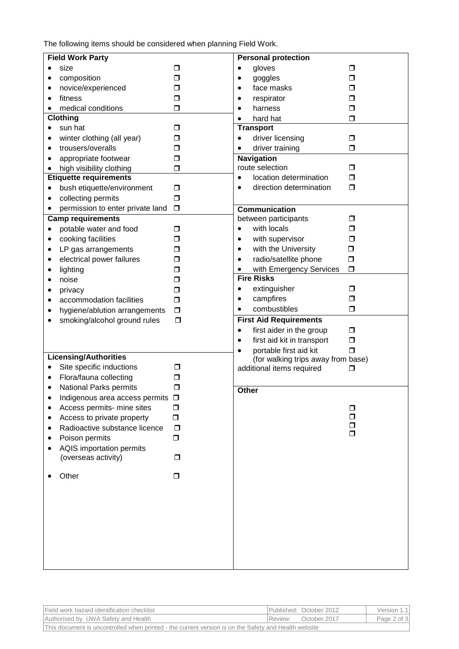The following items should be considered when planning Field Work.

| <b>Field Work Party</b>                    |        | <b>Personal protection</b>                                                |                |  |
|--------------------------------------------|--------|---------------------------------------------------------------------------|----------------|--|
| size<br>$\bullet$                          | □      | gloves<br>$\bullet$                                                       | □              |  |
| composition<br>٠                           | $\Box$ | goggles<br>٠                                                              | $\Box$         |  |
| novice/experienced<br>٠                    | ◘      | face masks<br>٠                                                           | ⊓              |  |
| fitness<br>$\bullet$                       | $\Box$ | respirator<br>٠                                                           | ⊓              |  |
| medical conditions                         | $\Box$ | harness<br>$\bullet$                                                      | □              |  |
| <b>Clothing</b>                            |        | hard hat<br>$\bullet$                                                     | □              |  |
| sun hat<br>$\bullet$                       | σ      | <b>Transport</b>                                                          |                |  |
| winter clothing (all year)<br>٠            | □      | driver licensing<br>$\bullet$                                             | $\Box$         |  |
| trousers/overalls<br>$\bullet$             | ⊓      | driver training                                                           | ⊓              |  |
| appropriate footwear                       | ◘      | <b>Navigation</b>                                                         |                |  |
| high visibility clothing<br>$\bullet$      | ◘      | route selection                                                           | □              |  |
| <b>Etiquette requirements</b>              |        | location determination<br>$\bullet$                                       | $\Box$         |  |
| bush etiquette/environment<br>$\bullet$    | $\Box$ | direction determination<br>$\bullet$                                      | $\Box$         |  |
| collecting permits<br>$\bullet$            | $\Box$ |                                                                           |                |  |
| permission to enter private land           | $\Box$ | <b>Communication</b>                                                      |                |  |
| <b>Camp requirements</b>                   |        | between participants                                                      | Ω              |  |
| potable water and food<br>$\bullet$        | □      | with locals<br>$\bullet$                                                  | ⊓              |  |
| cooking facilities<br>٠                    | □      | with supervisor<br>٠                                                      | □              |  |
| LP gas arrangements<br>٠                   | □      | with the University<br>$\bullet$                                          | Ο              |  |
| electrical power failures<br>$\bullet$     | ◘      | radio/satellite phone<br>٠                                                | $\Box$         |  |
| lighting<br>$\bullet$                      | ⊓      | with Emergency Services                                                   | $\Box$         |  |
| noise<br>$\bullet$                         | ◘      | <b>Fire Risks</b>                                                         |                |  |
| privacy<br>$\bullet$                       | σ      | extinguisher<br>$\bullet$                                                 | □<br>$\Box$    |  |
| accommodation facilities<br>$\bullet$      | $\Box$ | campfires<br>$\bullet$<br>combustibles                                    | $\Box$         |  |
| hygiene/ablution arrangements              | $\Box$ | $\bullet$                                                                 |                |  |
| smoking/alcohol ground rules               | $\Box$ | <b>First Aid Requirements</b>                                             |                |  |
|                                            |        | first aider in the group<br>$\bullet$                                     | $\Box$         |  |
|                                            |        | first aid kit in transport<br>$\bullet$                                   | $\Box$         |  |
| <b>Licensing/Authorities</b>               |        | portable first aid kit<br>$\bullet$<br>(for walking trips away from base) | $\blacksquare$ |  |
| Site specific inductions<br>$\bullet$      | □      | additional items required                                                 | ⊓              |  |
| Flora/fauna collecting<br>$\bullet$        | □      |                                                                           |                |  |
| National Parks permits<br>٠                | ◘      | Other                                                                     |                |  |
| Indigenous area access permits             | $\Box$ |                                                                           |                |  |
| Access permits- mine sites                 | □      |                                                                           | □              |  |
| Access to private property<br>$\bullet$    | $\Box$ |                                                                           | ⊓              |  |
| Radioactive substance licence<br>$\bullet$ | $\Box$ |                                                                           | ⊓              |  |
| Poison permits                             | $\Box$ |                                                                           | $\Box$         |  |
| AQIS importation permits                   |        |                                                                           |                |  |
| (overseas activity)                        | □      |                                                                           |                |  |
| Other                                      | □      |                                                                           |                |  |
|                                            |        |                                                                           |                |  |
|                                            |        |                                                                           |                |  |
|                                            |        |                                                                           |                |  |
|                                            |        |                                                                           |                |  |
|                                            |        |                                                                           |                |  |
|                                            |        |                                                                           |                |  |
|                                            |        |                                                                           |                |  |
|                                            |        |                                                                           |                |  |
|                                            |        |                                                                           |                |  |

| Field work hazard identification checklist                                                           |  | Published: October 2012 | Version 1.1 |  |  |
|------------------------------------------------------------------------------------------------------|--|-------------------------|-------------|--|--|
| Authorised by UWA Safety and Health                                                                  |  | Review: October 2017    | Page 2 of 3 |  |  |
| This document is uncontrolled when printed - the current version is on the Safety and Health website |  |                         |             |  |  |